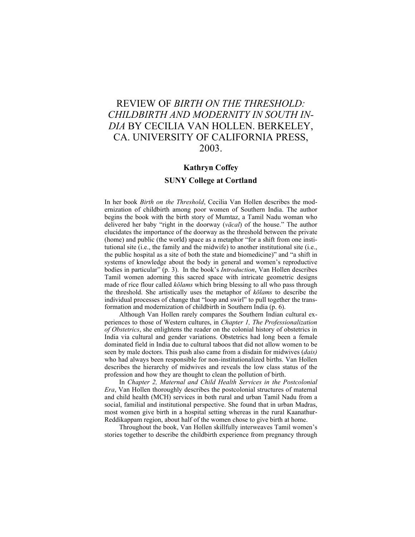## REVIEW OF *BIRTH ON THE THRESHOLD: CHILDBIRTH AND MODERNITY IN SOUTH IN-DIA* BY CECILIA VAN HOLLEN. BERKELEY, CA. UNIVERSITY OF CALIFORNIA PRESS, 2003.

## **Kathryn Coffey**

## **SUNY College at Cortland**

In her book *Birth on the Threshold*, Cecilia Van Hollen describes the modernization of childbirth among poor women of Southern India. The author begins the book with the birth story of Mumtaz, a Tamil Nadu woman who delivered her baby "right in the doorway (*vācal*) of the house." The author elucidates the importance of the doorway as the threshold between the private (home) and public (the world) space as a metaphor "for a shift from one institutional site (i.e., the family and the midwife) to another institutional site (i.e., the public hospital as a site of both the state and biomedicine)" and "a shift in systems of knowledge about the body in general and women's reproductive bodies in particular" (p. 3). In the book's *Introduction*, Van Hollen describes Tamil women adorning this sacred space with intricate geometric designs made of rice flour called *kōlams* which bring blessing to all who pass through the threshold. She artistically uses the metaphor of *kōlams* to describe the individual processes of change that "loop and swirl" to pull together the transformation and modernization of childbirth in Southern India (p. 6).

Although Van Hollen rarely compares the Southern Indian cultural experiences to those of Western cultures, in *Chapter 1, The Professionalization of Obstetrics*, she enlightens the reader on the colonial history of obstetrics in India via cultural and gender variations. Obstetrics had long been a female dominated field in India due to cultural taboos that did not allow women to be seen by male doctors. This push also came from a disdain for midwives (*dais)* who had always been responsible for non-institutionalized births. Van Hollen describes the hierarchy of midwives and reveals the low class status of the profession and how they are thought to clean the pollution of birth.

In *Chapter 2, Maternal and Child Health Services in the Postcolonial Era*, Van Hollen thoroughly describes the postcolonial structures of maternal and child health (MCH) services in both rural and urban Tamil Nadu from a social, familial and institutional perspective. She found that in urban Madras, most women give birth in a hospital setting whereas in the rural Kaanathur-Reddikappam region, about half of the women chose to give birth at home.

Throughout the book, Van Hollen skillfully interweaves Tamil women's stories together to describe the childbirth experience from pregnancy through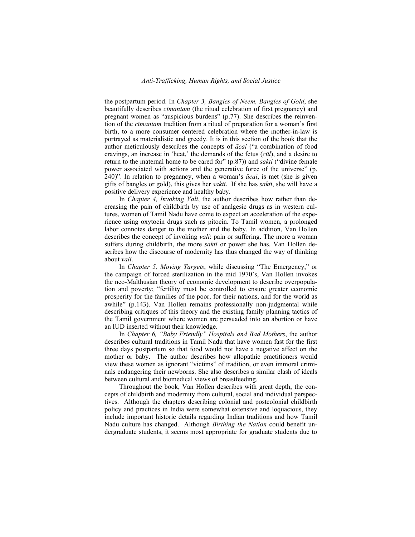the postpartum period. In *Chapter 3, Bangles of Neem, Bangles of Gold*, she beautifully describes *cīmantam* (the ritual celebration of first pregnancy) and pregnant women as "auspicious burdens" (p.77). She describes the reinvention of the *cīmantam* tradition from a ritual of preparation for a woman's first birth, to a more consumer centered celebration where the mother-in-law is portrayed as materialistic and greedy. It is in this section of the book that the author meticulously describes the concepts of *ācai* ("a combination of food cravings, an increase in 'heat,' the demands of the fetus (*cūl*), and a desire to return to the maternal home to be cared for" (p.87)) and *sakti* ("divine female power associated with actions and the generative force of the universe" (p. 240)". In relation to pregnancy, when a woman's *ācai*, is met (she is given gifts of bangles or gold), this gives her *sakti*. If she has *sakti*, she will have a positive delivery experience and healthy baby.

In *Chapter 4, Invoking Vali*, the author describes how rather than decreasing the pain of childbirth by use of analgesic drugs as in western cultures, women of Tamil Nadu have come to expect an acceleration of the experience using oxytocin drugs such as pitocin. To Tamil women, a prolonged labor connotes danger to the mother and the baby. In addition, Van Hollen describes the concept of invoking *vali*: pain or suffering. The more a woman suffers during childbirth, the more *sakti* or power she has. Van Hollen describes how the discourse of modernity has thus changed the way of thinking about *vali*.

In *Chapter 5, Moving Targets*, while discussing "The Emergency," or the campaign of forced sterilization in the mid 1970's, Van Hollen invokes the neo-Malthusian theory of economic development to describe overpopulation and poverty; "fertility must be controlled to ensure greater economic prosperity for the families of the poor, for their nations, and for the world as awhile" (p.143). Van Hollen remains professionally non-judgmental while describing critiques of this theory and the existing family planning tactics of the Tamil government where women are persuaded into an abortion or have an IUD inserted without their knowledge.

In *Chapter 6, "Baby Friendly" Hospitals and Bad Mothers*, the author describes cultural traditions in Tamil Nadu that have women fast for the first three days postpartum so that food would not have a negative affect on the mother or baby. The author describes how allopathic practitioners would view these women as ignorant "victims" of tradition, or even immoral criminals endangering their newborns. She also describes a similar clash of ideals between cultural and biomedical views of breastfeeding.

Throughout the book, Van Hollen describes with great depth, the concepts of childbirth and modernity from cultural, social and individual perspectives. Although the chapters describing colonial and postcolonial childbirth policy and practices in India were somewhat extensive and loquacious, they include important historic details regarding Indian traditions and how Tamil Nadu culture has changed. Although *Birthing the Nation* could benefit undergraduate students, it seems most appropriate for graduate students due to